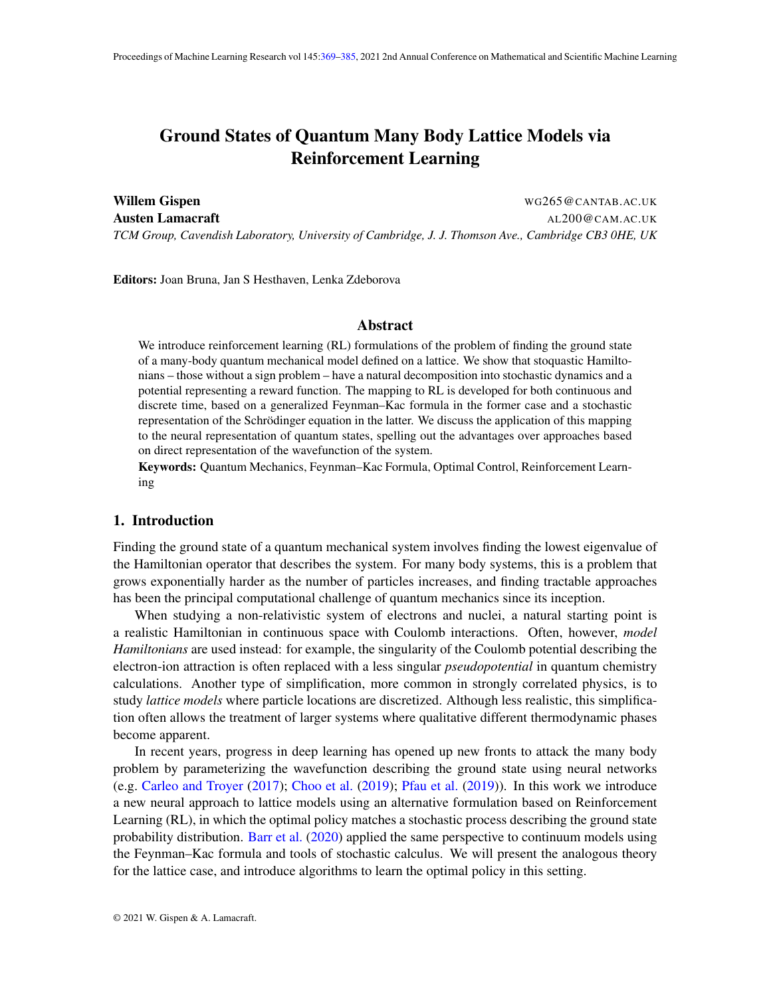# <span id="page-0-0"></span>Ground States of Quantum Many Body Lattice Models via Reinforcement Learning

Willem Gispen Wallem Allem Books and the United States of the WG265@CANTAB.AC.UK Austen Lamacraft Australian Australian Australian Australian Australian Australian Australian Australian Austr *TCM Group, Cavendish Laboratory, University of Cambridge, J. J. Thomson Ave., Cambridge CB3 0HE, UK*

Editors: Joan Bruna, Jan S Hesthaven, Lenka Zdeborova

#### Abstract

We introduce reinforcement learning (RL) formulations of the problem of finding the ground state of a many-body quantum mechanical model defined on a lattice. We show that stoquastic Hamiltonians – those without a sign problem – have a natural decomposition into stochastic dynamics and a potential representing a reward function. The mapping to RL is developed for both continuous and discrete time, based on a generalized Feynman–Kac formula in the former case and a stochastic representation of the Schrödinger equation in the latter. We discuss the application of this mapping to the neural representation of quantum states, spelling out the advantages over approaches based on direct representation of the wavefunction of the system.

Keywords: Quantum Mechanics, Feynman–Kac Formula, Optimal Control, Reinforcement Learning

#### 1. Introduction

Finding the ground state of a quantum mechanical system involves finding the lowest eigenvalue of the Hamiltonian operator that describes the system. For many body systems, this is a problem that grows exponentially harder as the number of particles increases, and finding tractable approaches has been the principal computational challenge of quantum mechanics since its inception.

When studying a non-relativistic system of electrons and nuclei, a natural starting point is a realistic Hamiltonian in continuous space with Coulomb interactions. Often, however, *model Hamiltonians* are used instead: for example, the singularity of the Coulomb potential describing the electron-ion attraction is often replaced with a less singular *pseudopotential* in quantum chemistry calculations. Another type of simplification, more common in strongly correlated physics, is to study *lattice models* where particle locations are discretized. Although less realistic, this simplification often allows the treatment of larger systems where qualitative different thermodynamic phases become apparent.

In recent years, progress in deep learning has opened up new fronts to attack the many body problem by parameterizing the wavefunction describing the ground state using neural networks (e.g. [Carleo and Troyer](#page-10-0) [\(2017\)](#page-10-0); [Choo et al.](#page-10-1) [\(2019\)](#page-10-1); [Pfau et al.](#page-12-0) [\(2019\)](#page-12-0)). In this work we introduce a new neural approach to lattice models using an alternative formulation based on Reinforcement Learning (RL), in which the optimal policy matches a stochastic process describing the ground state probability distribution. [Barr et al.](#page-10-2) [\(2020\)](#page-10-2) applied the same perspective to continuum models using the Feynman–Kac formula and tools of stochastic calculus. We will present the analogous theory for the lattice case, and introduce algorithms to learn the optimal policy in this setting.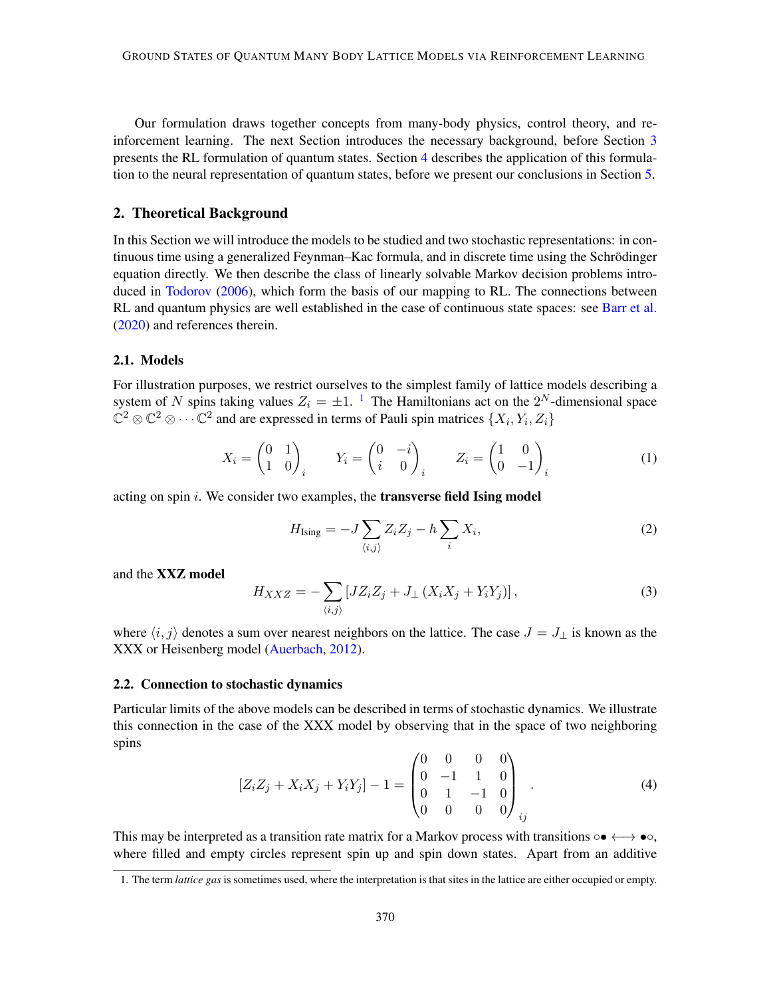Our formulation draws together concepts from many-body physics, control theory, and reinforcement learning. The next Section introduces the necessary background, before Section [3](#page-5-0) presents the RL formulation of quantum states. Section [4](#page-8-0) describes the application of this formulation to the neural representation of quantum states, before we present our conclusions in Section [5.](#page-9-0)

# 2. Theoretical Background

In this Section we will introduce the models to be studied and two stochastic representations: in continuous time using a generalized Feynman–Kac formula, and in discrete time using the Schrodinger ¨ equation directly. We then describe the class of linearly solvable Markov decision problems introduced in [Todorov](#page-12-1) [\(2006\)](#page-12-1), which form the basis of our mapping to RL. The connections between RL and quantum physics are well established in the case of continuous state spaces: see [Barr et al.](#page-10-2) [\(2020\)](#page-10-2) and references therein.

#### 2.1. Models

For illustration purposes, we restrict ourselves to the simplest family of lattice models describing a system of N spins taking values  $Z_i = \pm 1$  $Z_i = \pm 1$ . <sup>1</sup> The Hamiltonians act on the  $2^N$ -dimensional space  $\mathbb{C}^2 \otimes \mathbb{C}^2 \otimes \cdots \mathbb{C}^2$  and are expressed in terms of Pauli spin matrices  $\{X_i, Y_i, Z_i\}$ 

$$
X_i = \begin{pmatrix} 0 & 1 \\ 1 & 0 \end{pmatrix}_i \qquad Y_i = \begin{pmatrix} 0 & -i \\ i & 0 \end{pmatrix}_i \qquad Z_i = \begin{pmatrix} 1 & 0 \\ 0 & -1 \end{pmatrix}_i \tag{1}
$$

acting on spin  $i$ . We consider two examples, the **transverse field Ising model** 

<span id="page-1-1"></span>
$$
H_{\text{Ising}} = -J \sum_{\langle i,j \rangle} Z_i Z_j - h \sum_i X_i,\tag{2}
$$

and the XXZ model

$$
H_{XXZ} = -\sum_{\langle i,j\rangle} \left[ JZ_i Z_j + J_\perp \left( X_i X_j + Y_i Y_j \right) \right],\tag{3}
$$

where  $\langle i, j \rangle$  denotes a sum over nearest neighbors on the lattice. The case  $J = J_{\perp}$  is known as the XXX or Heisenberg model [\(Auerbach,](#page-10-3) [2012\)](#page-10-3).

#### 2.2. Connection to stochastic dynamics

Particular limits of the above models can be described in terms of stochastic dynamics. We illustrate this connection in the case of the XXX model by observing that in the space of two neighboring spins

$$
[Z_i Z_j + X_i X_j + Y_i Y_j] - 1 = \begin{pmatrix} 0 & 0 & 0 & 0 \\ 0 & -1 & 1 & 0 \\ 0 & 1 & -1 & 0 \\ 0 & 0 & 0 & 0 \end{pmatrix}_{ij}.
$$
 (4)

This may be interpreted as a transition rate matrix for a Markov process with transitions  $\circ \bullet \longleftrightarrow \bullet \circ$ , where filled and empty circles represent spin up and spin down states. Apart from an additive

<span id="page-1-0"></span><sup>1.</sup> The term *lattice gas* is sometimes used, where the interpretation is that sites in the lattice are either occupied or empty.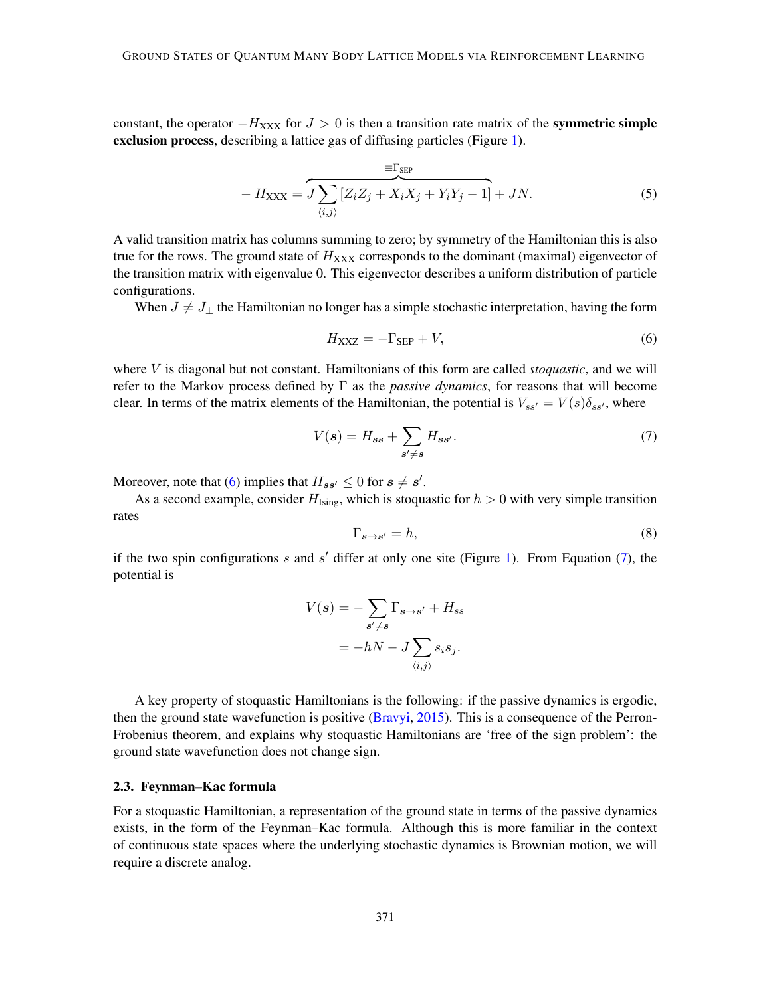constant, the operator  $-H_{\text{XXX}}$  for  $J > 0$  is then a transition rate matrix of the symmetric simple exclusion process, describing a lattice gas of diffusing particles (Figure [1\)](#page-3-0).

$$
-H_{\text{XXX}} = \underbrace{\mathcal{J}\sum_{\langle i,j\rangle} [Z_i Z_j + X_i X_j + Y_i Y_j - 1]}_{\langle i,j\rangle} + \mathcal{J}N. \tag{5}
$$

A valid transition matrix has columns summing to zero; by symmetry of the Hamiltonian this is also true for the rows. The ground state of  $H_{\text{XXX}}$  corresponds to the dominant (maximal) eigenvector of the transition matrix with eigenvalue 0. This eigenvector describes a uniform distribution of particle configurations.

When  $J \neq J_{\perp}$  the Hamiltonian no longer has a simple stochastic interpretation, having the form

<span id="page-2-0"></span>
$$
H_{\text{XXZ}} = -\Gamma_{\text{SEP}} + V,\tag{6}
$$

where V is diagonal but not constant. Hamiltonians of this form are called *stoquastic*, and we will refer to the Markov process defined by Γ as the *passive dynamics*, for reasons that will become clear. In terms of the matrix elements of the Hamiltonian, the potential is  $V_{ss'} = V(s)\delta_{ss'}$ , where

<span id="page-2-1"></span>
$$
V(s) = H_{ss} + \sum_{s' \neq s} H_{ss'}.\tag{7}
$$

Moreover, note that [\(6\)](#page-2-0) implies that  $H_{ss'} \leq 0$  for  $s \neq s'$ .

As a second example, consider  $H_{\text{Isine}}$ , which is stoquastic for  $h > 0$  with very simple transition rates

$$
\Gamma_{s \to s'} = h,\tag{8}
$$

if the two spin configurations  $s$  and  $s'$  differ at only one site (Figure [1\)](#page-3-0). From Equation [\(7\)](#page-2-1), the potential is

$$
V(s) = -\sum_{s'\neq s} \Gamma_{s\to s'} + H_{ss}
$$

$$
= -hN - J \sum_{\langle i,j \rangle} s_i s_j.
$$

A key property of stoquastic Hamiltonians is the following: if the passive dynamics is ergodic, then the ground state wavefunction is positive [\(Bravyi,](#page-10-4) [2015\)](#page-10-4). This is a consequence of the Perron-Frobenius theorem, and explains why stoquastic Hamiltonians are 'free of the sign problem': the ground state wavefunction does not change sign.

#### <span id="page-2-2"></span>2.3. Feynman–Kac formula

For a stoquastic Hamiltonian, a representation of the ground state in terms of the passive dynamics exists, in the form of the Feynman–Kac formula. Although this is more familiar in the context of continuous state spaces where the underlying stochastic dynamics is Brownian motion, we will require a discrete analog.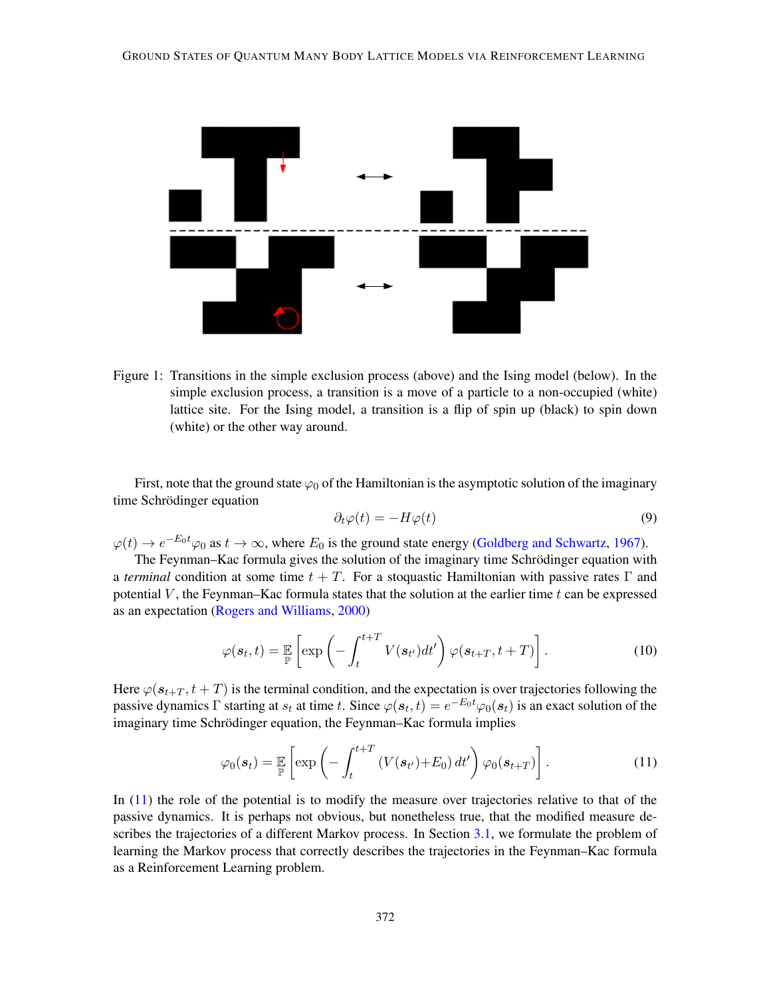

Figure 1: Transitions in the simple exclusion process (above) and the Ising model (below). In the simple exclusion process, a transition is a move of a particle to a non-occupied (white) lattice site. For the Ising model, a transition is a flip of spin up (black) to spin down (white) or the other way around.

First, note that the ground state  $\varphi_0$  of the Hamiltonian is the asymptotic solution of the imaginary time Schrödinger equation

<span id="page-3-0"></span>
$$
\partial_t \varphi(t) = -H\varphi(t) \tag{9}
$$

 $\varphi(t) \to e^{-E_0 t} \varphi_0$  as  $t \to \infty$ , where  $E_0$  is the ground state energy [\(Goldberg and Schwartz,](#page-11-0) [1967\)](#page-11-0).

The Feynman–Kac formula gives the solution of the imaginary time Schrödinger equation with a *terminal* condition at some time  $t + T$ . For a stoquastic Hamiltonian with passive rates  $\Gamma$  and potential  $V$ , the Feynman–Kac formula states that the solution at the earlier time  $t$  can be expressed as an expectation [\(Rogers and Williams,](#page-12-2) [2000\)](#page-12-2)

$$
\varphi(\boldsymbol{s}_t, t) = \mathbb{E}\left[\exp\left(-\int_t^{t+T} V(\boldsymbol{s}_{t'})dt'\right) \varphi(\boldsymbol{s}_{t+T}, t+T)\right].
$$
\n(10)

Here  $\varphi(s_{t+T}, t+T)$  is the terminal condition, and the expectation is over trajectories following the passive dynamics  $\Gamma$  starting at  $s_t$  at time t. Since  $\varphi(s_t, t) = e^{-E_0 t} \varphi_0(s_t)$  is an exact solution of the imaginary time Schrödinger equation, the Feynman–Kac formula implies

<span id="page-3-1"></span>
$$
\varphi_0(\boldsymbol{s}_t) = \mathbb{E}_{\mathbb{P}} \left[ \exp \left( - \int_t^{t+T} \left( V(\boldsymbol{s}_{t'}) + E_0 \right) dt' \right) \varphi_0(\boldsymbol{s}_{t+T}) \right]. \tag{11}
$$

In [\(11\)](#page-3-1) the role of the potential is to modify the measure over trajectories relative to that of the passive dynamics. It is perhaps not obvious, but nonetheless true, that the modified measure de-scribes the trajectories of a different Markov process. In Section [3.1,](#page-6-0) we formulate the problem of learning the Markov process that correctly describes the trajectories in the Feynman–Kac formula as a Reinforcement Learning problem.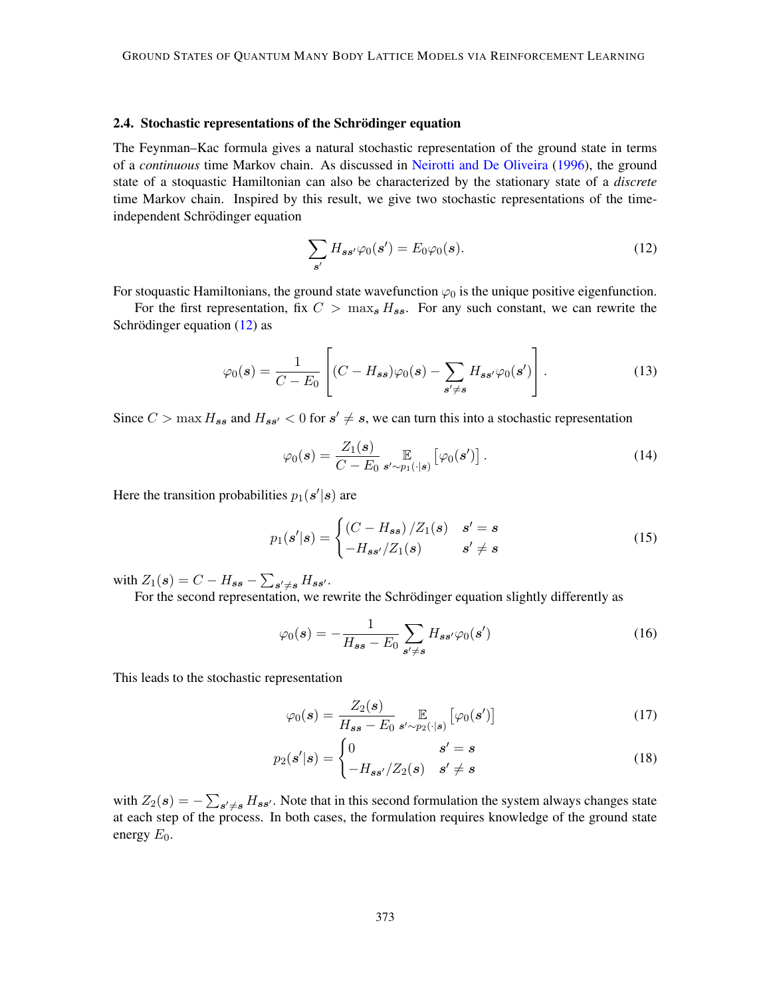#### <span id="page-4-1"></span>2.4. Stochastic representations of the Schrödinger equation

The Feynman–Kac formula gives a natural stochastic representation of the ground state in terms of a *continuous* time Markov chain. As discussed in [Neirotti and De Oliveira](#page-12-3) [\(1996\)](#page-12-3), the ground state of a stoquastic Hamiltonian can also be characterized by the stationary state of a *discrete* time Markov chain. Inspired by this result, we give two stochastic representations of the timeindependent Schrödinger equation

<span id="page-4-0"></span>
$$
\sum_{s'} H_{ss'} \varphi_0(s') = E_0 \varphi_0(s). \tag{12}
$$

For stoquastic Hamiltonians, the ground state wavefunction  $\varphi_0$  is the unique positive eigenfunction.

For the first representation, fix  $C > \max_{s} H_{ss}$ . For any such constant, we can rewrite the Schrödinger equation  $(12)$  $(12)$  as

$$
\varphi_0(\mathbf{s}) = \frac{1}{C - E_0} \left[ (C - H_{\mathbf{s}\mathbf{s}}) \varphi_0(\mathbf{s}) - \sum_{\mathbf{s}' \neq \mathbf{s}} H_{\mathbf{s}\mathbf{s}'} \varphi_0(\mathbf{s}') \right]. \tag{13}
$$

Since  $C > \max H_{ss}$  and  $H_{ss'} < 0$  for  $s' \neq s$ , we can turn this into a stochastic representation

<span id="page-4-2"></span>
$$
\varphi_0(\boldsymbol{s}) = \frac{Z_1(\boldsymbol{s})}{C - E_0} \mathop{\mathbb{E}}_{\boldsymbol{s}' \sim p_1(\cdot | \boldsymbol{s})} \left[ \varphi_0(\boldsymbol{s}') \right]. \tag{14}
$$

Here the transition probabilities  $p_1(\mathbf{s}'|\mathbf{s})$  are

$$
p_1(s'|s) = \begin{cases} (C - H_{ss}) / Z_1(s) & s' = s \\ -H_{ss'} / Z_1(s) & s' \neq s \end{cases}
$$
(15)

with  $Z_1(\mathbf{s}) = C - H_{ss} - \sum_{\mathbf{s}' \neq \mathbf{s}} H_{\mathbf{s}\mathbf{s}'}$ .

For the second representation, we rewrite the Schrödinger equation slightly differently as

$$
\varphi_0(\mathbf{s}) = -\frac{1}{H_{ss} - E_0} \sum_{\mathbf{s}' \neq \mathbf{s}} H_{ss'} \varphi_0(\mathbf{s}')
$$
\n(16)

This leads to the stochastic representation

<span id="page-4-3"></span>
$$
\varphi_0(s) = \frac{Z_2(s)}{H_{ss} - E_0} \mathop{\mathbb{E}}_{s' \sim p_2(\cdot | s)} \left[ \varphi_0(s') \right] \tag{17}
$$

$$
p_2(s'|s) = \begin{cases} 0 & s'=s\\ -H_{ss'}/Z_2(s) & s'\neq s \end{cases}
$$
 (18)

with  $Z_2(s) = -\sum_{s' \neq s} H_{ss'}$ . Note that in this second formulation the system always changes state at each step of the process. In both cases, the formulation requires knowledge of the ground state energy  $E_0$ .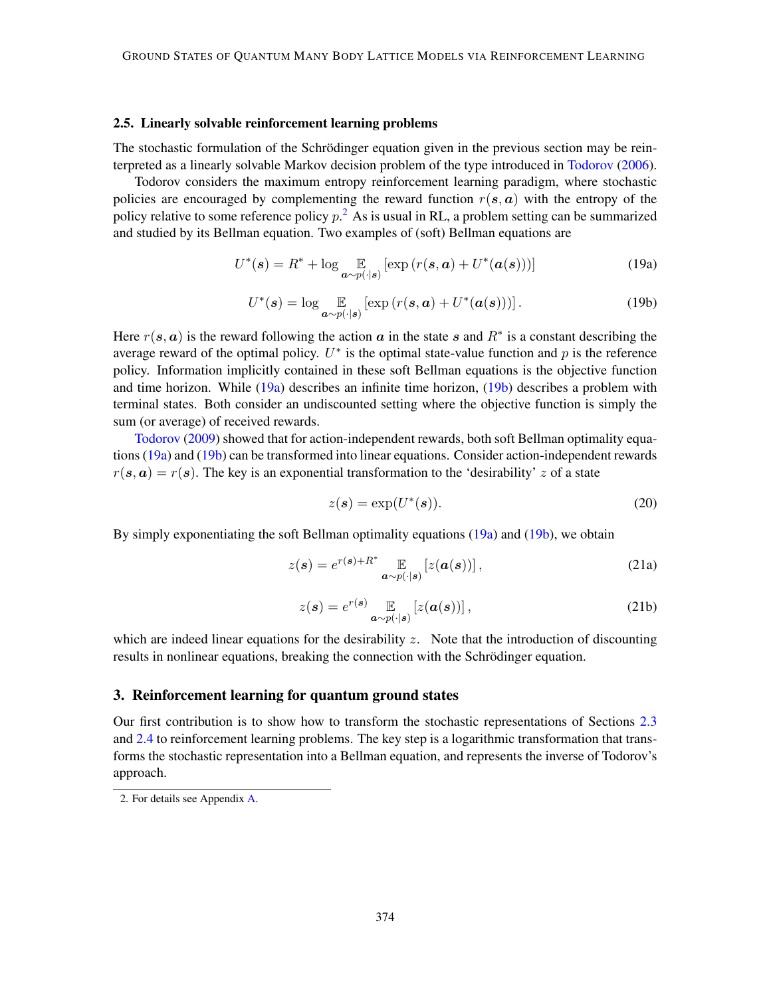#### 2.5. Linearly solvable reinforcement learning problems

The stochastic formulation of the Schrödinger equation given in the previous section may be reinterpreted as a linearly solvable Markov decision problem of the type introduced in [Todorov](#page-12-1) [\(2006\)](#page-12-1).

Todorov considers the maximum entropy reinforcement learning paradigm, where stochastic policies are encouraged by complementing the reward function  $r(s, a)$  with the entropy of the policy relative to some reference policy  $p<sup>2</sup>$  $p<sup>2</sup>$  $p<sup>2</sup>$ . As is usual in RL, a problem setting can be summarized and studied by its Bellman equation. Two examples of (soft) Bellman equations are

<span id="page-5-2"></span>
$$
U^*(\mathbf{s}) = R^* + \log \mathop{\mathbb{E}}_{\mathbf{a} \sim p(\cdot | \mathbf{s})} [\exp(r(\mathbf{s}, \mathbf{a}) + U^*(\mathbf{a}(\mathbf{s})))] \tag{19a}
$$

<span id="page-5-3"></span>
$$
U^*(\mathbf{s}) = \log \mathop{\mathbb{E}}_{\mathbf{a} \sim p(\cdot|\mathbf{s})} \left[ \exp \left( r(\mathbf{s}, \mathbf{a}) + U^*(\mathbf{a}(\mathbf{s})) \right) \right]. \tag{19b}
$$

Here  $r(s, a)$  is the reward following the action a in the state s and  $R^*$  is a constant describing the average reward of the optimal policy.  $U^*$  is the optimal state-value function and p is the reference policy. Information implicitly contained in these soft Bellman equations is the objective function and time horizon. While  $(19a)$  describes an infinite time horizon,  $(19b)$  describes a problem with terminal states. Both consider an undiscounted setting where the objective function is simply the sum (or average) of received rewards.

[Todorov](#page-12-4) [\(2009\)](#page-12-4) showed that for action-independent rewards, both soft Bellman optimality equations [\(19a\)](#page-5-2) and [\(19b\)](#page-5-3) can be transformed into linear equations. Consider action-independent rewards  $r(s, a) = r(s)$ . The key is an exponential transformation to the 'desirability' z of a state

$$
z(s) = \exp(U^*(s)).\tag{20}
$$

By simply exponentiating the soft Bellman optimality equations [\(19a\)](#page-5-2) and [\(19b\)](#page-5-3), we obtain

<span id="page-5-4"></span>
$$
z(s) = e^{r(s) + R^*} \mathop{\mathbb{E}}_{a \sim p(\cdot | s)} [z(a(s))], \qquad (21a)
$$

<span id="page-5-5"></span>
$$
z(s) = e^{r(s)} \mathop{\mathbb{E}}_{a \sim p(\cdot|s)} [z(a(s))] \,, \tag{21b}
$$

which are indeed linear equations for the desirability  $z$ . Note that the introduction of discounting results in nonlinear equations, breaking the connection with the Schrödinger equation.

#### <span id="page-5-0"></span>3. Reinforcement learning for quantum ground states

Our first contribution is to show how to transform the stochastic representations of Sections [2.3](#page-2-2) and [2.4](#page-4-1) to reinforcement learning problems. The key step is a logarithmic transformation that transforms the stochastic representation into a Bellman equation, and represents the inverse of Todorov's approach.

<span id="page-5-1"></span><sup>2.</sup> For details see Appendix [A.](#page-12-5)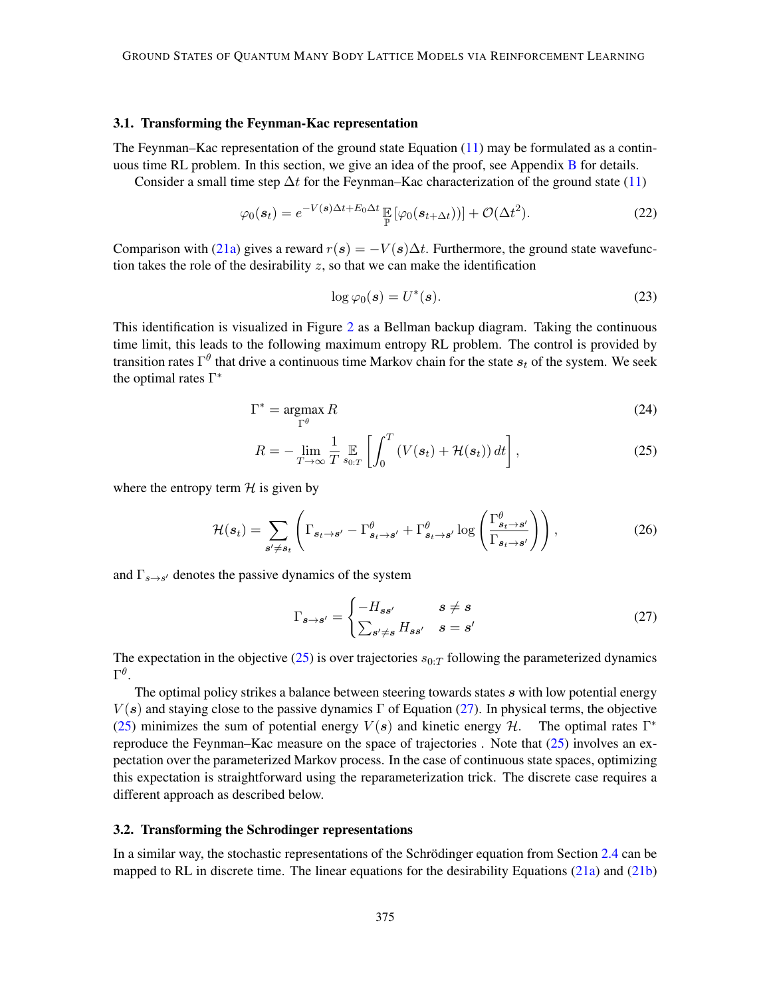#### <span id="page-6-0"></span>3.1. Transforming the Feynman-Kac representation

The Feynman–Kac representation of the ground state Equation [\(11\)](#page-3-1) may be formulated as a contin-uous time RL problem. In this section, we give an idea of the proof, see Appendix [B](#page-14-0) for details.

Consider a small time step  $\Delta t$  for the Feynman–Kac characterization of the ground state [\(11\)](#page-3-1)

$$
\varphi_0(\mathbf{s}_t) = e^{-V(\mathbf{s})\Delta t + E_0 \Delta t} \mathbb{E} \left[ \varphi_0(\mathbf{s}_{t+\Delta t}) \right] + \mathcal{O}(\Delta t^2). \tag{22}
$$

Comparison with [\(21a\)](#page-5-4) gives a reward  $r(s) = -V(s)\Delta t$ . Furthermore, the ground state wavefunction takes the role of the desirability  $z$ , so that we can make the identification

<span id="page-6-3"></span><span id="page-6-1"></span>
$$
\log \varphi_0(\mathbf{s}) = U^*(\mathbf{s}).\tag{23}
$$

This identification is visualized in Figure [2](#page-7-0) as a Bellman backup diagram. Taking the continuous time limit, this leads to the following maximum entropy RL problem. The control is provided by transition rates  $\Gamma^\theta$  that drive a continuous time Markov chain for the state  $s_t$  of the system. We seek the optimal rates  $\Gamma^*$ 

$$
\Gamma^* = \underset{\Gamma^\theta}{\text{argmax}} R \tag{24}
$$

$$
R = -\lim_{T \to \infty} \frac{1}{T} \mathop{\mathbb{E}}_{s_{0:T}} \left[ \int_0^T \left( V(\boldsymbol{s}_t) + \mathcal{H}(\boldsymbol{s}_t) \right) dt \right], \tag{25}
$$

where the entropy term  $H$  is given by

$$
\mathcal{H}(\boldsymbol{s}_t) = \sum_{\boldsymbol{s}' \neq \boldsymbol{s}_t} \left( \Gamma_{\boldsymbol{s}_t \to \boldsymbol{s}'} - \Gamma_{\boldsymbol{s}_t \to \boldsymbol{s}'}^{\theta} + \Gamma_{\boldsymbol{s}_t \to \boldsymbol{s}'}^{\theta} \log \left( \frac{\Gamma_{\boldsymbol{s}_t \to \boldsymbol{s}'}^{\theta}}{\Gamma_{\boldsymbol{s}_t \to \boldsymbol{s}'}} \right) \right), \tag{26}
$$

and  $\Gamma_{s\to s'}$  denotes the passive dynamics of the system

<span id="page-6-2"></span>
$$
\Gamma_{s \to s'} = \begin{cases}\n-H_{ss'} & s \neq s \\
\sum_{s' \neq s} H_{ss'} & s = s'\n\end{cases}
$$
\n(27)

The expectation in the objective  $(25)$  is over trajectories  $s_{0:T}$  following the parameterized dynamics  $\Gamma^\theta.$ 

The optimal policy strikes a balance between steering towards states s with low potential energy  $V(s)$  and staying close to the passive dynamics  $\Gamma$  of Equation [\(27\)](#page-6-2). In physical terms, the objective [\(25\)](#page-6-1) minimizes the sum of potential energy  $V(s)$  and kinetic energy H. The optimal rates  $\Gamma^*$ reproduce the Feynman–Kac measure on the space of trajectories . Note that  $(25)$  involves an expectation over the parameterized Markov process. In the case of continuous state spaces, optimizing this expectation is straightforward using the reparameterization trick. The discrete case requires a different approach as described below.

#### 3.2. Transforming the Schrodinger representations

In a similar way, the stochastic representations of the Schrödinger equation from Section [2.4](#page-4-1) can be mapped to RL in discrete time. The linear equations for the desirability Equations [\(21a\)](#page-5-4) and [\(21b\)](#page-5-5)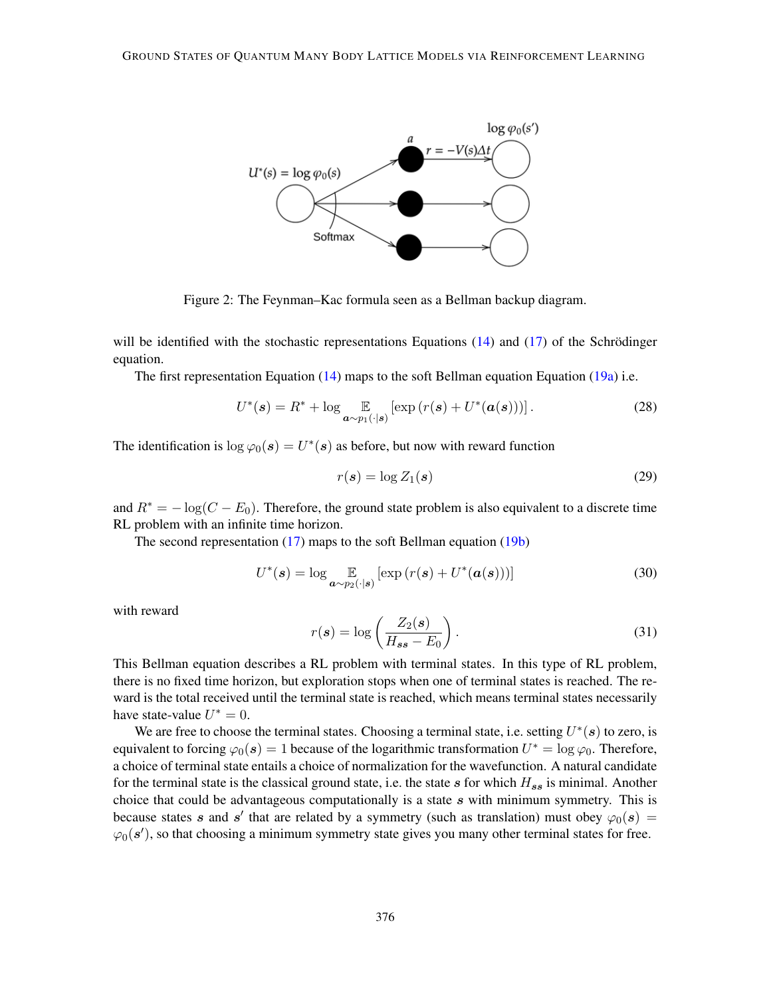

Figure 2: The Feynman–Kac formula seen as a Bellman backup diagram.

will be identified with the stochastic representations Equations  $(14)$  and  $(17)$  of the Schrödinger equation.

The first representation Equation [\(14\)](#page-4-2) maps to the soft Bellman equation Equation [\(19a\)](#page-5-2) i.e.

$$
U^*(\mathbf{s}) = R^* + \log \mathop{\mathbb{E}}_{\mathbf{a} \sim p_1(\cdot|\mathbf{s})} [\exp(r(\mathbf{s}) + U^*(\mathbf{a}(\mathbf{s})))]. \tag{28}
$$

The identification is  $\log \varphi_0(\mathbf{s}) = U^*(\mathbf{s})$  as before, but now with reward function

<span id="page-7-0"></span>
$$
r(s) = \log Z_1(s) \tag{29}
$$

and  $R^* = -\log(C - E_0)$ . Therefore, the ground state problem is also equivalent to a discrete time RL problem with an infinite time horizon.

The second representation [\(17\)](#page-4-3) maps to the soft Bellman equation [\(19b\)](#page-5-3)

$$
U^*(\mathbf{s}) = \log \mathop{\mathbb{E}}_{\mathbf{a} \sim p_2(\cdot|\mathbf{s})} [\exp(r(\mathbf{s}) + U^*(\mathbf{a}(\mathbf{s})))] \tag{30}
$$

with reward

$$
r(s) = \log\left(\frac{Z_2(s)}{H_{ss} - E_0}\right). \tag{31}
$$

This Bellman equation describes a RL problem with terminal states. In this type of RL problem, there is no fixed time horizon, but exploration stops when one of terminal states is reached. The reward is the total received until the terminal state is reached, which means terminal states necessarily have state-value  $U^* = 0$ .

We are free to choose the terminal states. Choosing a terminal state, i.e. setting  $U^*(s)$  to zero, is equivalent to forcing  $\varphi_0(s) = 1$  because of the logarithmic transformation  $U^* = \log \varphi_0$ . Therefore, a choice of terminal state entails a choice of normalization for the wavefunction. A natural candidate for the terminal state is the classical ground state, i.e. the state s for which  $H_{ss}$  is minimal. Another choice that could be advantageous computationally is a state  $s$  with minimum symmetry. This is because states s and s' that are related by a symmetry (such as translation) must obey  $\varphi_0(s)$  =  $\varphi_0(\mathbf{s}')$ , so that choosing a minimum symmetry state gives you many other terminal states for free.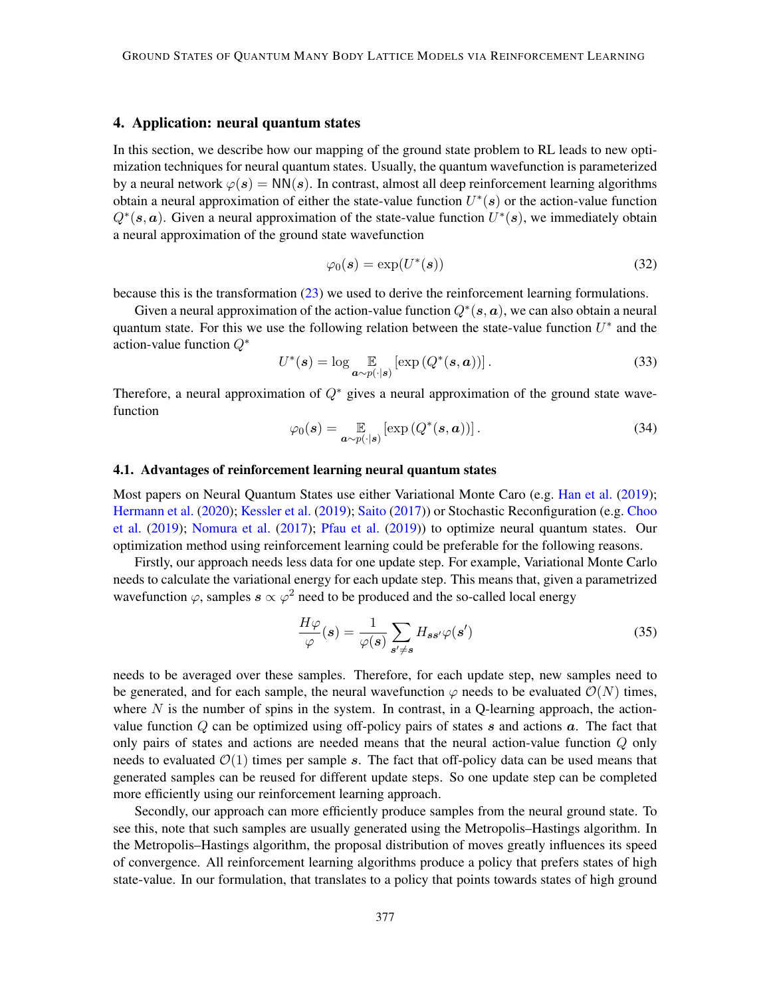## <span id="page-8-0"></span>4. Application: neural quantum states

In this section, we describe how our mapping of the ground state problem to RL leads to new optimization techniques for neural quantum states. Usually, the quantum wavefunction is parameterized by a neural network  $\varphi(s) = NN(s)$ . In contrast, almost all deep reinforcement learning algorithms obtain a neural approximation of either the state-value function  $U^*(s)$  or the action-value function  $Q^*(s, a)$ . Given a neural approximation of the state-value function  $U^*(s)$ , we immediately obtain a neural approximation of the ground state wavefunction

$$
\varphi_0(\mathbf{s}) = \exp(U^*(\mathbf{s})) \tag{32}
$$

because this is the transformation [\(23\)](#page-6-3) we used to derive the reinforcement learning formulations.

Given a neural approximation of the action-value function  $Q^*(s, a)$ , we can also obtain a neural quantum state. For this we use the following relation between the state-value function  $U^*$  and the action-value function Q<sup>∗</sup>

$$
U^*(\mathbf{s}) = \log \mathop{\mathbb{E}}_{\mathbf{a} \sim p(\cdot|\mathbf{s})} [\exp (Q^*(\mathbf{s}, \mathbf{a}))]. \tag{33}
$$

Therefore, a neural approximation of  $Q^*$  gives a neural approximation of the ground state wavefunction

<span id="page-8-1"></span>
$$
\varphi_0(\mathbf{s}) = \mathop{\mathbb{E}}_{\mathbf{a} \sim p(\cdot|\mathbf{s})} \left[ \exp\left(Q^*(\mathbf{s}, \mathbf{a})\right) \right]. \tag{34}
$$

#### 4.1. Advantages of reinforcement learning neural quantum states

Most papers on Neural Quantum States use either Variational Monte Caro (e.g. [Han et al.](#page-11-1) [\(2019\)](#page-11-1); [Hermann et al.](#page-11-2) [\(2020\)](#page-11-2); [Kessler et al.](#page-11-3) [\(2019\)](#page-11-3); [Saito](#page-12-6) [\(2017\)](#page-12-6)) or Stochastic Reconfiguration (e.g. [Choo](#page-10-1) [et al.](#page-10-1) [\(2019\)](#page-10-1); [Nomura et al.](#page-12-7) [\(2017\)](#page-12-7); [Pfau et al.](#page-12-0) [\(2019\)](#page-12-0)) to optimize neural quantum states. Our optimization method using reinforcement learning could be preferable for the following reasons.

Firstly, our approach needs less data for one update step. For example, Variational Monte Carlo needs to calculate the variational energy for each update step. This means that, given a parametrized wavefunction  $\varphi$ , samples  $s \propto \varphi^2$  need to be produced and the so-called local energy

$$
\frac{H\varphi}{\varphi}(s) = \frac{1}{\varphi(s)} \sum_{s' \neq s} H_{ss'}\varphi(s')
$$
\n(35)

needs to be averaged over these samples. Therefore, for each update step, new samples need to be generated, and for each sample, the neural wavefunction  $\varphi$  needs to be evaluated  $\mathcal{O}(N)$  times, where  $N$  is the number of spins in the system. In contrast, in a Q-learning approach, the actionvalue function  $Q$  can be optimized using off-policy pairs of states  $s$  and actions  $a$ . The fact that only pairs of states and actions are needed means that the neural action-value function Q only needs to evaluated  $\mathcal{O}(1)$  times per sample s. The fact that off-policy data can be used means that generated samples can be reused for different update steps. So one update step can be completed more efficiently using our reinforcement learning approach.

Secondly, our approach can more efficiently produce samples from the neural ground state. To see this, note that such samples are usually generated using the Metropolis–Hastings algorithm. In the Metropolis–Hastings algorithm, the proposal distribution of moves greatly influences its speed of convergence. All reinforcement learning algorithms produce a policy that prefers states of high state-value. In our formulation, that translates to a policy that points towards states of high ground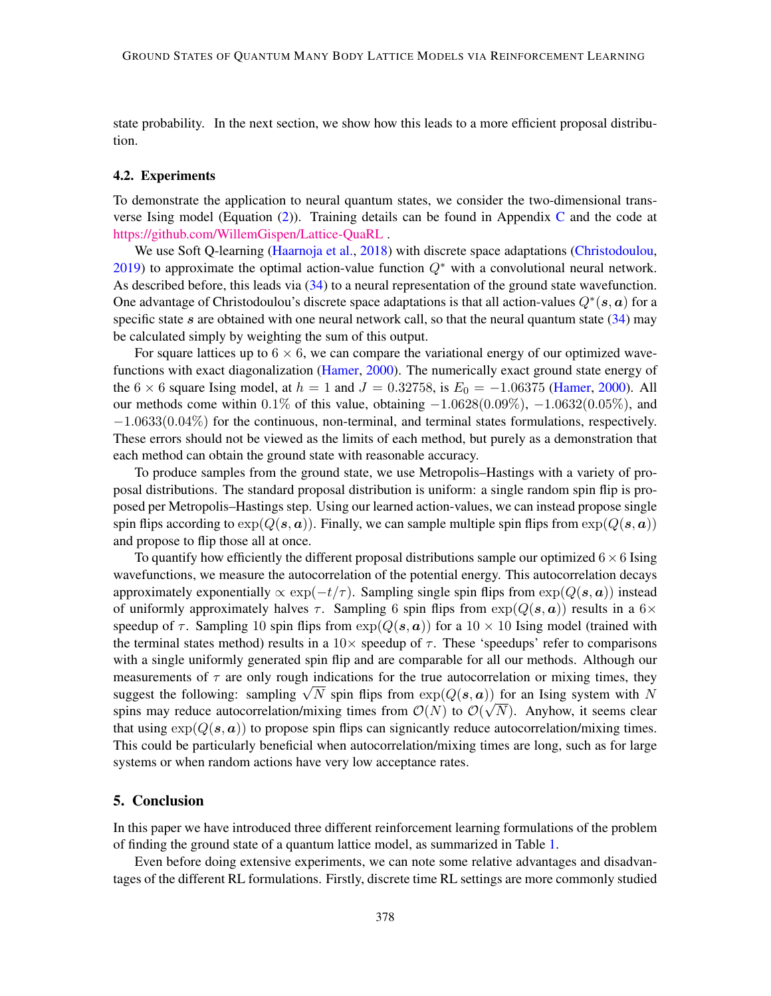state probability. In the next section, we show how this leads to a more efficient proposal distribution.

#### 4.2. Experiments

To demonstrate the application to neural quantum states, we consider the two-dimensional transverse Ising model (Equation  $(2)$ ). Training details can be found in Appendix [C](#page-15-0) and the code at <https://github.com/WillemGispen/Lattice-QuaRL> .

We use Soft Q-learning [\(Haarnoja et al.,](#page-11-4) [2018\)](#page-11-4) with discrete space adaptations [\(Christodoulou,](#page-11-5) [2019\)](#page-11-5) to approximate the optimal action-value function  $Q^*$  with a convolutional neural network. As described before, this leads via [\(34\)](#page-8-1) to a neural representation of the ground state wavefunction. One advantage of Christodoulou's discrete space adaptations is that all action-values  $Q^*(s, a)$  for a specific state s are obtained with one neural network call, so that the neural quantum state  $(34)$  may be calculated simply by weighting the sum of this output.

For square lattices up to  $6 \times 6$ , we can compare the variational energy of our optimized wavefunctions with exact diagonalization [\(Hamer,](#page-11-6) [2000\)](#page-11-6). The numerically exact ground state energy of the 6  $\times$  6 square Ising model, at  $h = 1$  and  $J = 0.32758$ , is  $E_0 = -1.06375$  [\(Hamer,](#page-11-6) [2000\)](#page-11-6). All our methods come within 0.1% of this value, obtaining  $-1.0628(0.09\%)$ ,  $-1.0632(0.05\%)$ , and  $-1.0633(0.04\%)$  for the continuous, non-terminal, and terminal states formulations, respectively. These errors should not be viewed as the limits of each method, but purely as a demonstration that each method can obtain the ground state with reasonable accuracy.

To produce samples from the ground state, we use Metropolis–Hastings with a variety of proposal distributions. The standard proposal distribution is uniform: a single random spin flip is proposed per Metropolis–Hastings step. Using our learned action-values, we can instead propose single spin flips according to  $\exp(Q(s, a))$ . Finally, we can sample multiple spin flips from  $\exp(Q(s, a))$ and propose to flip those all at once.

To quantify how efficiently the different proposal distributions sample our optimized  $6\times6$  Ising wavefunctions, we measure the autocorrelation of the potential energy. This autocorrelation decays approximately exponentially  $\propto \exp(-t/\tau)$ . Sampling single spin flips from  $\exp(Q(s, a))$  instead of uniformly approximately halves  $\tau$ . Sampling 6 spin flips from  $\exp(Q(s, a))$  results in a 6× speedup of  $\tau$ . Sampling 10 spin flips from  $\exp(Q(s, a))$  for a 10  $\times$  10 Ising model (trained with the terminal states method) results in a  $10\times$  speedup of  $\tau$ . These 'speedups' refer to comparisons with a single uniformly generated spin flip and are comparable for all our methods. Although our measurements of  $\tau$  are only rough indications for the true autocorrelation or mixing times, they measurements of  $\tau$  are only rough indications for the true autocorrelation or mixing times, they suggest the following: sampling  $\sqrt{N}$  spin flips from  $\exp(Q(s, a))$  for an Ising system with N spins may reduce autocorrelation/mixing times from  $\mathcal{O}(N)$  to  $\mathcal{O}(\sqrt{N})$ . Anyhow, it seems clear that using  $\exp(Q(s, a))$  to propose spin flips can signicantly reduce autocorrelation/mixing times. This could be particularly beneficial when autocorrelation/mixing times are long, such as for large systems or when random actions have very low acceptance rates.

## <span id="page-9-0"></span>5. Conclusion

In this paper we have introduced three different reinforcement learning formulations of the problem of finding the ground state of a quantum lattice model, as summarized in Table [1.](#page-10-5)

Even before doing extensive experiments, we can note some relative advantages and disadvantages of the different RL formulations. Firstly, discrete time RL settings are more commonly studied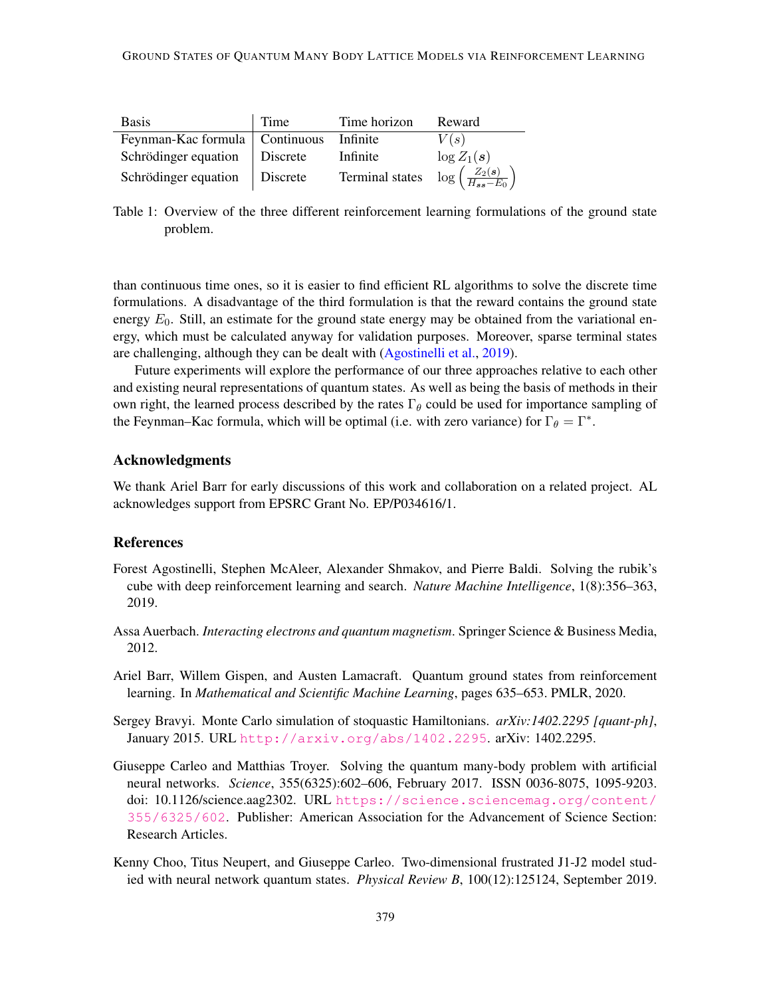<span id="page-10-5"></span>

| <b>Basis</b>                     | Time            | Time horizon    | Reward                                       |
|----------------------------------|-----------------|-----------------|----------------------------------------------|
| Feynman-Kac formula   Continuous |                 | Infinite        | V(s)                                         |
| Schrödinger equation             | Discrete        | Infinite        | $\log Z_1(s)$                                |
| Schrödinger equation             | <b>Discrete</b> | Terminal states | $\log\left(\frac{Z_2(s)}{H_{ss}-E_0}\right)$ |

Table 1: Overview of the three different reinforcement learning formulations of the ground state problem.

than continuous time ones, so it is easier to find efficient RL algorithms to solve the discrete time formulations. A disadvantage of the third formulation is that the reward contains the ground state energy  $E_0$ . Still, an estimate for the ground state energy may be obtained from the variational energy, which must be calculated anyway for validation purposes. Moreover, sparse terminal states are challenging, although they can be dealt with [\(Agostinelli et al.,](#page-10-6) [2019\)](#page-10-6).

Future experiments will explore the performance of our three approaches relative to each other and existing neural representations of quantum states. As well as being the basis of methods in their own right, the learned process described by the rates  $\Gamma_{\theta}$  could be used for importance sampling of the Feynman–Kac formula, which will be optimal (i.e. with zero variance) for  $\Gamma_{\theta} = \Gamma^*$ .

# Acknowledgments

We thank Ariel Barr for early discussions of this work and collaboration on a related project. AL acknowledges support from EPSRC Grant No. EP/P034616/1.

# **References**

- <span id="page-10-6"></span>Forest Agostinelli, Stephen McAleer, Alexander Shmakov, and Pierre Baldi. Solving the rubik's cube with deep reinforcement learning and search. *Nature Machine Intelligence*, 1(8):356–363, 2019.
- <span id="page-10-3"></span>Assa Auerbach. *Interacting electrons and quantum magnetism*. Springer Science & Business Media, 2012.
- <span id="page-10-2"></span>Ariel Barr, Willem Gispen, and Austen Lamacraft. Quantum ground states from reinforcement learning. In *Mathematical and Scientific Machine Learning*, pages 635–653. PMLR, 2020.
- <span id="page-10-4"></span>Sergey Bravyi. Monte Carlo simulation of stoquastic Hamiltonians. *arXiv:1402.2295 [quant-ph]*, January 2015. URL <http://arxiv.org/abs/1402.2295>. arXiv: 1402.2295.
- <span id="page-10-0"></span>Giuseppe Carleo and Matthias Troyer. Solving the quantum many-body problem with artificial neural networks. *Science*, 355(6325):602–606, February 2017. ISSN 0036-8075, 1095-9203. doi: 10.1126/science.aag2302. URL [https://science.sciencemag.org/content/](https://science.sciencemag.org/content/355/6325/602) [355/6325/602](https://science.sciencemag.org/content/355/6325/602). Publisher: American Association for the Advancement of Science Section: Research Articles.
- <span id="page-10-1"></span>Kenny Choo, Titus Neupert, and Giuseppe Carleo. Two-dimensional frustrated J1-J2 model studied with neural network quantum states. *Physical Review B*, 100(12):125124, September 2019.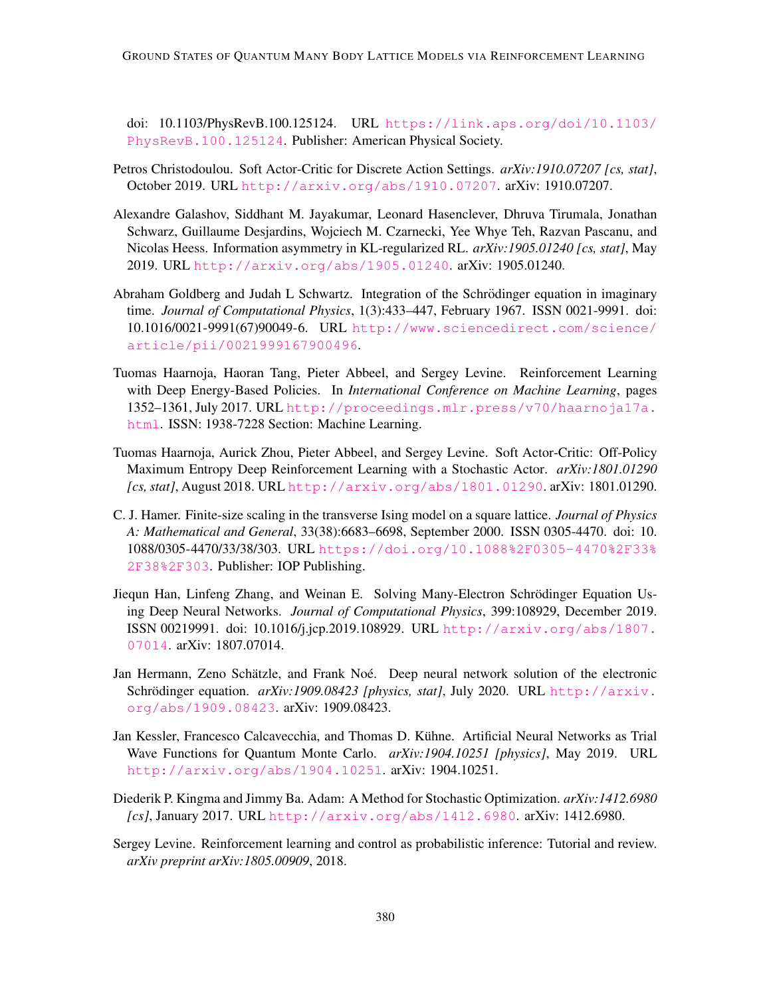doi: 10.1103/PhysRevB.100.125124. URL [https://link.aps.org/doi/10.1103/](https://link.aps.org/doi/10.1103/PhysRevB.100.125124) [PhysRevB.100.125124](https://link.aps.org/doi/10.1103/PhysRevB.100.125124). Publisher: American Physical Society.

- <span id="page-11-5"></span>Petros Christodoulou. Soft Actor-Critic for Discrete Action Settings. *arXiv:1910.07207 [cs, stat]*, October 2019. URL <http://arxiv.org/abs/1910.07207>. arXiv: 1910.07207.
- <span id="page-11-7"></span>Alexandre Galashov, Siddhant M. Jayakumar, Leonard Hasenclever, Dhruva Tirumala, Jonathan Schwarz, Guillaume Desjardins, Wojciech M. Czarnecki, Yee Whye Teh, Razvan Pascanu, and Nicolas Heess. Information asymmetry in KL-regularized RL. *arXiv:1905.01240 [cs, stat]*, May 2019. URL <http://arxiv.org/abs/1905.01240>. arXiv: 1905.01240.
- <span id="page-11-0"></span>Abraham Goldberg and Judah L Schwartz. Integration of the Schrödinger equation in imaginary time. *Journal of Computational Physics*, 1(3):433–447, February 1967. ISSN 0021-9991. doi: 10.1016/0021-9991(67)90049-6. URL [http://www.sciencedirect.com/science/](http://www.sciencedirect.com/science/article/pii/0021999167900496) [article/pii/0021999167900496](http://www.sciencedirect.com/science/article/pii/0021999167900496).
- <span id="page-11-8"></span>Tuomas Haarnoja, Haoran Tang, Pieter Abbeel, and Sergey Levine. Reinforcement Learning with Deep Energy-Based Policies. In *International Conference on Machine Learning*, pages 1352–1361, July 2017. URL [http://proceedings.mlr.press/v70/haarnoja17a.](http://proceedings.mlr.press/v70/haarnoja17a.html) [html](http://proceedings.mlr.press/v70/haarnoja17a.html). ISSN: 1938-7228 Section: Machine Learning.
- <span id="page-11-4"></span>Tuomas Haarnoja, Aurick Zhou, Pieter Abbeel, and Sergey Levine. Soft Actor-Critic: Off-Policy Maximum Entropy Deep Reinforcement Learning with a Stochastic Actor. *arXiv:1801.01290 [cs, stat]*, August 2018. URL <http://arxiv.org/abs/1801.01290>. arXiv: 1801.01290.
- <span id="page-11-6"></span>C. J. Hamer. Finite-size scaling in the transverse Ising model on a square lattice. *Journal of Physics A: Mathematical and General*, 33(38):6683–6698, September 2000. ISSN 0305-4470. doi: 10. 1088/0305-4470/33/38/303. URL [https://doi.org/10.1088%2F0305-4470%2F33%](https://doi.org/10.1088%2F0305-4470%2F33%2F38%2F303) [2F38%2F303](https://doi.org/10.1088%2F0305-4470%2F33%2F38%2F303). Publisher: IOP Publishing.
- <span id="page-11-1"></span>Jiequn Han, Linfeng Zhang, and Weinan E. Solving Many-Electron Schrodinger Equation Us- ¨ ing Deep Neural Networks. *Journal of Computational Physics*, 399:108929, December 2019. ISSN 00219991. doi: 10.1016/j.jcp.2019.108929. URL [http://arxiv.org/abs/1807.](http://arxiv.org/abs/1807.07014) [07014](http://arxiv.org/abs/1807.07014). arXiv: 1807.07014.
- <span id="page-11-2"></span>Jan Hermann, Zeno Schätzle, and Frank Noé. Deep neural network solution of the electronic Schrödinger equation. *arXiv:1909.08423 [physics, stat]*, July 2020. URL [http://arxiv.](http://arxiv.org/abs/1909.08423) [org/abs/1909.08423](http://arxiv.org/abs/1909.08423). arXiv: 1909.08423.
- <span id="page-11-3"></span>Jan Kessler, Francesco Calcavecchia, and Thomas D. Kuhne. Artificial Neural Networks as Trial ¨ Wave Functions for Quantum Monte Carlo. *arXiv:1904.10251 [physics]*, May 2019. URL <http://arxiv.org/abs/1904.10251>. arXiv: 1904.10251.
- <span id="page-11-10"></span>Diederik P. Kingma and Jimmy Ba. Adam: A Method for Stochastic Optimization. *arXiv:1412.6980 [cs]*, January 2017. URL <http://arxiv.org/abs/1412.6980>. arXiv: 1412.6980.
- <span id="page-11-9"></span>Sergey Levine. Reinforcement learning and control as probabilistic inference: Tutorial and review. *arXiv preprint arXiv:1805.00909*, 2018.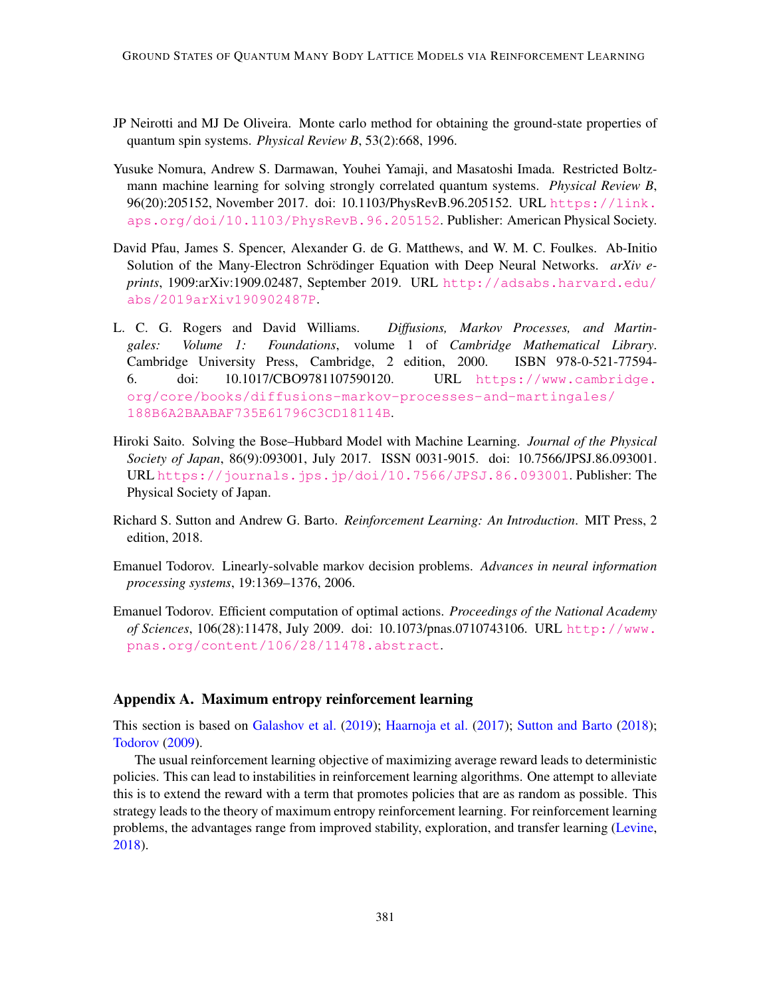- <span id="page-12-3"></span>JP Neirotti and MJ De Oliveira. Monte carlo method for obtaining the ground-state properties of quantum spin systems. *Physical Review B*, 53(2):668, 1996.
- <span id="page-12-7"></span>Yusuke Nomura, Andrew S. Darmawan, Youhei Yamaji, and Masatoshi Imada. Restricted Boltzmann machine learning for solving strongly correlated quantum systems. *Physical Review B*, 96(20):205152, November 2017. doi: 10.1103/PhysRevB.96.205152. URL [https://link.](https://link.aps.org/doi/10.1103/PhysRevB.96.205152) [aps.org/doi/10.1103/PhysRevB.96.205152](https://link.aps.org/doi/10.1103/PhysRevB.96.205152). Publisher: American Physical Society.
- <span id="page-12-0"></span>David Pfau, James S. Spencer, Alexander G. de G. Matthews, and W. M. C. Foulkes. Ab-Initio Solution of the Many-Electron Schrödinger Equation with Deep Neural Networks. *arXiv eprints*, 1909:arXiv:1909.02487, September 2019. URL [http://adsabs.harvard.edu/](http://adsabs.harvard.edu/abs/2019arXiv190902487P) [abs/2019arXiv190902487P](http://adsabs.harvard.edu/abs/2019arXiv190902487P).
- <span id="page-12-2"></span>L. C. G. Rogers and David Williams. *Diffusions, Markov Processes, and Martingales: Volume 1: Foundations*, volume 1 of *Cambridge Mathematical Library*. Cambridge University Press, Cambridge, 2 edition, 2000. ISBN 978-0-521-77594- 6. doi: 10.1017/CBO9781107590120. URL [https://www.cambridge.](https://www.cambridge.org/core/books/diffusions-markov-processes-and-martingales/188B6A2BAABAF735E61796C3CD18114B) [org/core/books/diffusions-markov-processes-and-martingales/](https://www.cambridge.org/core/books/diffusions-markov-processes-and-martingales/188B6A2BAABAF735E61796C3CD18114B) [188B6A2BAABAF735E61796C3CD18114B](https://www.cambridge.org/core/books/diffusions-markov-processes-and-martingales/188B6A2BAABAF735E61796C3CD18114B).
- <span id="page-12-6"></span>Hiroki Saito. Solving the Bose–Hubbard Model with Machine Learning. *Journal of the Physical Society of Japan*, 86(9):093001, July 2017. ISSN 0031-9015. doi: 10.7566/JPSJ.86.093001. URL <https://journals.jps.jp/doi/10.7566/JPSJ.86.093001>. Publisher: The Physical Society of Japan.
- <span id="page-12-8"></span>Richard S. Sutton and Andrew G. Barto. *Reinforcement Learning: An Introduction*. MIT Press, 2 edition, 2018.
- <span id="page-12-1"></span>Emanuel Todorov. Linearly-solvable markov decision problems. *Advances in neural information processing systems*, 19:1369–1376, 2006.
- <span id="page-12-4"></span>Emanuel Todorov. Efficient computation of optimal actions. *Proceedings of the National Academy of Sciences*, 106(28):11478, July 2009. doi: 10.1073/pnas.0710743106. URL [http://www.](http://www.pnas.org/content/106/28/11478.abstract) [pnas.org/content/106/28/11478.abstract](http://www.pnas.org/content/106/28/11478.abstract).

#### <span id="page-12-5"></span>Appendix A. Maximum entropy reinforcement learning

This section is based on [Galashov et al.](#page-11-7) [\(2019\)](#page-11-7); [Haarnoja et al.](#page-11-8) [\(2017\)](#page-11-8); [Sutton and Barto](#page-12-8) [\(2018\)](#page-12-8); [Todorov](#page-12-4) [\(2009\)](#page-12-4).

The usual reinforcement learning objective of maximizing average reward leads to deterministic policies. This can lead to instabilities in reinforcement learning algorithms. One attempt to alleviate this is to extend the reward with a term that promotes policies that are as random as possible. This strategy leads to the theory of maximum entropy reinforcement learning. For reinforcement learning problems, the advantages range from improved stability, exploration, and transfer learning [\(Levine,](#page-11-9) [2018\)](#page-11-9).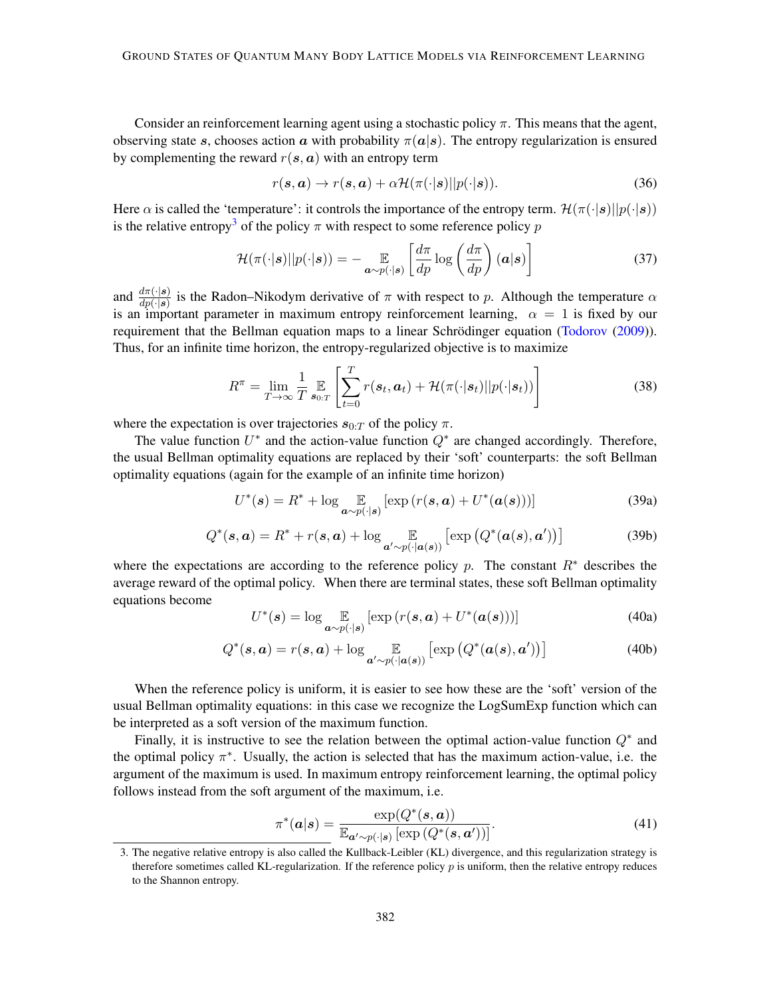Consider an reinforcement learning agent using a stochastic policy  $\pi$ . This means that the agent, observing state s, chooses action a with probability  $\pi(a|s)$ . The entropy regularization is ensured by complementing the reward  $r(s, a)$  with an entropy term

$$
r(\mathbf{s}, \mathbf{a}) \to r(\mathbf{s}, \mathbf{a}) + \alpha \mathcal{H}(\pi(\cdot|\mathbf{s})||p(\cdot|\mathbf{s})). \tag{36}
$$

Here  $\alpha$  is called the 'temperature': it controls the importance of the entropy term.  $\mathcal{H}(\pi(\cdot|\mathbf{s})||p(\cdot|\mathbf{s}))$ is the relative entropy<sup>[3](#page-13-0)</sup> of the policy  $\pi$  with respect to some reference policy p

$$
\mathcal{H}(\pi(\cdot|\mathbf{s})||p(\cdot|\mathbf{s})) = -\mathop{\mathbb{E}}_{\mathbf{a}\sim p(\cdot|\mathbf{s})} \left[ \frac{d\pi}{dp} \log \left( \frac{d\pi}{dp} \right) (\mathbf{a}|\mathbf{s}) \right] \tag{37}
$$

and  $\frac{d\pi(\cdot|s)}{dp(\cdot|s)}$  is the Radon–Nikodym derivative of  $\pi$  with respect to p. Although the temperature  $\alpha$ is an important parameter in maximum entropy reinforcement learning,  $\alpha = 1$  is fixed by our requirement that the Bellman equation maps to a linear Schrödinger equation ([Todorov](#page-12-4) [\(2009\)](#page-12-4)). Thus, for an infinite time horizon, the entropy-regularized objective is to maximize

$$
R^{\pi} = \lim_{T \to \infty} \frac{1}{T} \mathop{\mathbb{E}}_{\mathbf{s}_{0:T}} \left[ \sum_{t=0}^{T} r(\mathbf{s}_t, \mathbf{a}_t) + \mathcal{H}(\pi(\cdot|\mathbf{s}_t)||p(\cdot|\mathbf{s}_t)) \right]
$$
(38)

where the expectation is over trajectories  $s_{0:T}$  of the policy  $\pi$ .

The value function  $U^*$  and the action-value function  $Q^*$  are changed accordingly. Therefore, the usual Bellman optimality equations are replaced by their 'soft' counterparts: the soft Bellman optimality equations (again for the example of an infinite time horizon)

$$
U^*(\mathbf{s}) = R^* + \log \mathop{\mathbb{E}}_{\mathbf{a} \sim p(\cdot | \mathbf{s})} [\exp(r(\mathbf{s}, \mathbf{a}) + U^*(\mathbf{a}(\mathbf{s})))] \tag{39a}
$$

<span id="page-13-2"></span>
$$
Q^*(\mathbf{s}, \mathbf{a}) = R^* + r(\mathbf{s}, \mathbf{a}) + \log \mathop{\mathbb{E}}_{\mathbf{a}' \sim p(\cdot | \mathbf{a}(\mathbf{s}))} [\exp (Q^*(\mathbf{a}(\mathbf{s}), \mathbf{a}'))]
$$
(39b)

where the expectations are according to the reference policy p. The constant  $R^*$  describes the average reward of the optimal policy. When there are terminal states, these soft Bellman optimality equations become

$$
U^*(s) = \log \mathop{\mathbb{E}}_{\mathbf{a} \sim p(\cdot | s)} [\exp (r(s, \mathbf{a}) + U^*(\mathbf{a}(s)))] \tag{40a}
$$

<span id="page-13-3"></span>
$$
Q^*(\mathbf{s}, \mathbf{a}) = r(\mathbf{s}, \mathbf{a}) + \log \mathop{\mathbb{E}}_{\mathbf{a}' \sim p(\cdot | \mathbf{a}(\mathbf{s}))} [\exp (Q^*(\mathbf{a}(\mathbf{s}), \mathbf{a}'))]
$$
(40b)

When the reference policy is uniform, it is easier to see how these are the 'soft' version of the usual Bellman optimality equations: in this case we recognize the LogSumExp function which can be interpreted as a soft version of the maximum function.

Finally, it is instructive to see the relation between the optimal action-value function  $Q^*$  and the optimal policy  $\pi^*$ . Usually, the action is selected that has the maximum action-value, i.e. the argument of the maximum is used. In maximum entropy reinforcement learning, the optimal policy follows instead from the soft argument of the maximum, i.e.

<span id="page-13-1"></span>
$$
\pi^*(\mathbf{a}|\mathbf{s}) = \frac{\exp(Q^*(\mathbf{s}, \mathbf{a}))}{\mathbb{E}_{\mathbf{a}' \sim p(\cdot|\mathbf{s})} [\exp(Q^*(\mathbf{s}, \mathbf{a}'))]}.
$$
(41)

<span id="page-13-0"></span><sup>3.</sup> The negative relative entropy is also called the Kullback-Leibler (KL) divergence, and this regularization strategy is therefore sometimes called KL-regularization. If the reference policy p is uniform, then the relative entropy reduces to the Shannon entropy.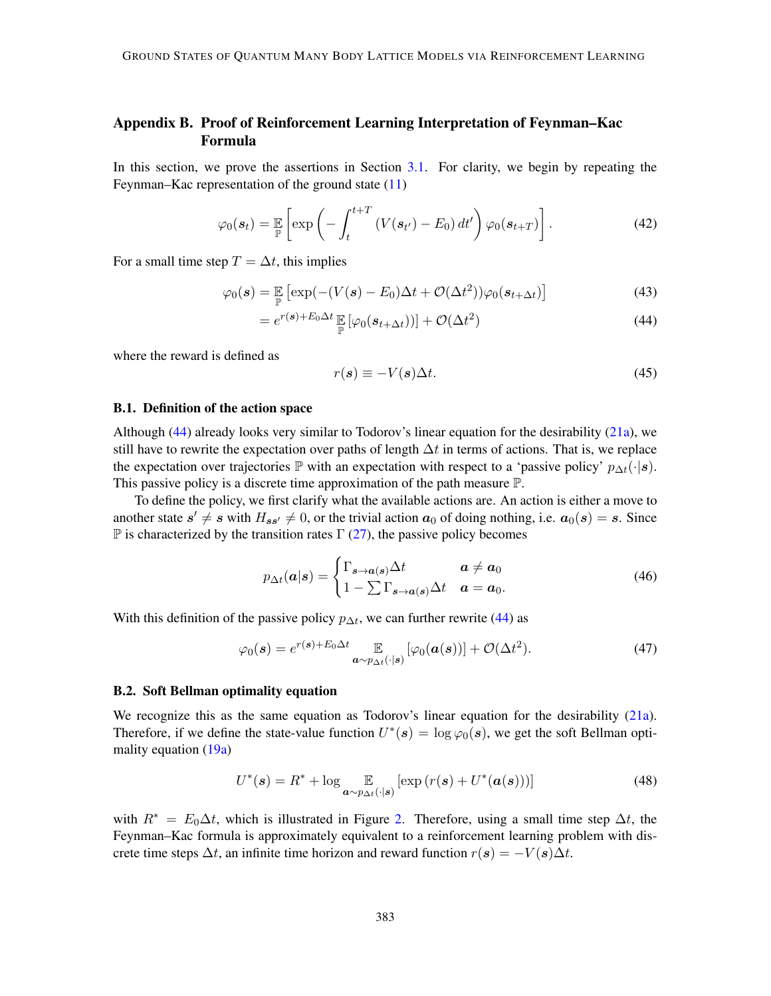# <span id="page-14-0"></span>Appendix B. Proof of Reinforcement Learning Interpretation of Feynman–Kac Formula

In this section, we prove the assertions in Section [3.1.](#page-6-0) For clarity, we begin by repeating the Feynman–Kac representation of the ground state  $(11)$ 

$$
\varphi_0(\mathbf{s}_t) = \mathbb{E}\left[\exp\left(-\int_t^{t+T} \left(V(\mathbf{s}_{t'}) - E_0\right) dt'\right) \varphi_0(\mathbf{s}_{t+T})\right].\tag{42}
$$

For a small time step  $T = \Delta t$ , this implies

$$
\varphi_0(\mathbf{s}) = \mathbb{E}_{\mathbb{P}} \left[ \exp(-(V(\mathbf{s}) - E_0)\Delta t + \mathcal{O}(\Delta t^2))\varphi_0(\mathbf{s}_{t+\Delta t}) \right]
$$
(43)

$$
= e^{r(\mathbf{s}) + E_0 \Delta t} \mathbb{E} \left[ \varphi_0(\mathbf{s}_{t + \Delta t}) \right] + \mathcal{O}(\Delta t^2)
$$
\n(44)

where the reward is defined as

<span id="page-14-1"></span>
$$
r(s) \equiv -V(s)\Delta t. \tag{45}
$$

#### B.1. Definition of the action space

Although [\(44\)](#page-14-1) already looks very similar to Todorov's linear equation for the desirability [\(21a\)](#page-5-4), we still have to rewrite the expectation over paths of length  $\Delta t$  in terms of actions. That is, we replace the expectation over trajectories  $\mathbb P$  with an expectation with respect to a 'passive policy'  $p_{\Delta t}(\cdot|s)$ . This passive policy is a discrete time approximation of the path measure P.

To define the policy, we first clarify what the available actions are. An action is either a move to another state  $s' \neq s$  with  $H_{ss'} \neq 0$ , or the trivial action  $a_0$  of doing nothing, i.e.  $a_0(s) = s$ . Since  $\mathbb P$  is characterized by the transition rates  $\Gamma$  [\(27\)](#page-6-2), the passive policy becomes

<span id="page-14-2"></span>
$$
p_{\Delta t}(\mathbf{a}|\mathbf{s}) = \begin{cases} \Gamma_{\mathbf{s}\to\mathbf{a}(\mathbf{s})} \Delta t & \mathbf{a} \neq \mathbf{a}_0 \\ 1 - \sum \Gamma_{\mathbf{s}\to\mathbf{a}(\mathbf{s})} \Delta t & \mathbf{a} = \mathbf{a}_0. \end{cases}
$$
(46)

With this definition of the passive policy  $p_{\Delta t}$ , we can further rewrite [\(44\)](#page-14-1) as

$$
\varphi_0(s) = e^{r(s) + E_0 \Delta t} \mathop{\mathbb{E}}_{\substack{a \sim p_{\Delta t}(\cdot | s)}} [\varphi_0(a(s))] + \mathcal{O}(\Delta t^2). \tag{47}
$$

#### <span id="page-14-3"></span>B.2. Soft Bellman optimality equation

We recognize this as the same equation as Todorov's linear equation for the desirability [\(21a\)](#page-5-4). Therefore, if we define the state-value function  $U^*(s) = \log \varphi_0(s)$ , we get the soft Bellman optimality equation [\(19a\)](#page-5-2)

$$
U^*(\mathbf{s}) = R^* + \log \mathop{\mathbb{E}}_{\mathbf{a} \sim p_{\Delta t}(\cdot | \mathbf{s})} [\exp (r(\mathbf{s}) + U^*(\mathbf{a}(\mathbf{s})))] \tag{48}
$$

with  $R^* = E_0 \Delta t$ , which is illustrated in Figure [2.](#page-7-0) Therefore, using a small time step  $\Delta t$ , the Feynman–Kac formula is approximately equivalent to a reinforcement learning problem with discrete time steps  $\Delta t$ , an infinite time horizon and reward function  $r(s) = -V(s)\Delta t$ .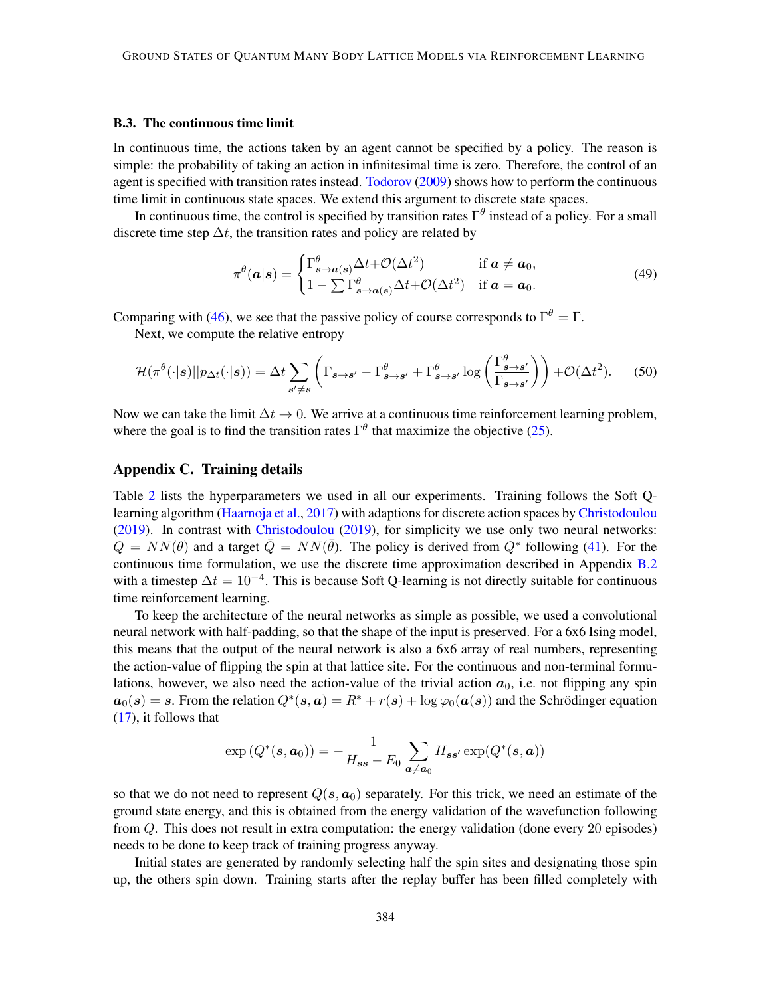#### B.3. The continuous time limit

In continuous time, the actions taken by an agent cannot be specified by a policy. The reason is simple: the probability of taking an action in infinitesimal time is zero. Therefore, the control of an agent is specified with transition rates instead. [Todorov](#page-12-4) [\(2009\)](#page-12-4) shows how to perform the continuous time limit in continuous state spaces. We extend this argument to discrete state spaces.

In continuous time, the control is specified by transition rates  $\Gamma^{\theta}$  instead of a policy. For a small discrete time step  $\Delta t$ , the transition rates and policy are related by

$$
\pi^{\theta}(\mathbf{a}|\mathbf{s}) = \begin{cases} \Gamma^{\theta}_{\mathbf{s}\to\mathbf{a}(\mathbf{s})} \Delta t + \mathcal{O}(\Delta t^2) & \text{if } \mathbf{a} \neq \mathbf{a}_0, \\ 1 - \sum \Gamma^{\theta}_{\mathbf{s}\to\mathbf{a}(\mathbf{s})} \Delta t + \mathcal{O}(\Delta t^2) & \text{if } \mathbf{a} = \mathbf{a}_0. \end{cases}
$$
(49)

Comparing with [\(46\)](#page-14-2), we see that the passive policy of course corresponds to  $\Gamma^{\theta} = \Gamma$ .

Next, we compute the relative entropy

$$
\mathcal{H}(\pi^{\theta}(\cdot|s)||p_{\Delta t}(\cdot|s)) = \Delta t \sum_{s' \neq s} \left( \Gamma_{s \to s'} - \Gamma^{\theta}_{s \to s'} + \Gamma^{\theta}_{s \to s'} \log \left( \frac{\Gamma^{\theta}_{s \to s'}}{\Gamma_{s \to s'}} \right) \right) + \mathcal{O}(\Delta t^2). \tag{50}
$$

Now we can take the limit  $\Delta t \rightarrow 0$ . We arrive at a continuous time reinforcement learning problem, where the goal is to find the transition rates  $\Gamma^{\theta}$  that maximize the objective [\(25\)](#page-6-1).

# <span id="page-15-0"></span>Appendix C. Training details

Table [2](#page-16-1) lists the hyperparameters we used in all our experiments. Training follows the Soft Qlearning algorithm [\(Haarnoja et al.,](#page-11-8) [2017\)](#page-11-8) with adaptions for discrete action spaces by [Christodoulou](#page-11-5) [\(2019\)](#page-11-5). In contrast with [Christodoulou](#page-11-5) [\(2019\)](#page-11-5), for simplicity we use only two neural networks:  $Q = NN(\theta)$  and a target  $\overline{Q} = NN(\overline{\theta})$ . The policy is derived from  $Q^*$  following [\(41\)](#page-13-1). For the continuous time formulation, we use the discrete time approximation described in Appendix [B.2](#page-14-3) with a timestep  $\Delta t = 10^{-4}$ . This is because Soft Q-learning is not directly suitable for continuous time reinforcement learning.

To keep the architecture of the neural networks as simple as possible, we used a convolutional neural network with half-padding, so that the shape of the input is preserved. For a 6x6 Ising model, this means that the output of the neural network is also a 6x6 array of real numbers, representing the action-value of flipping the spin at that lattice site. For the continuous and non-terminal formulations, however, we also need the action-value of the trivial action  $a_0$ , i.e. not flipping any spin  $a_0(s) = s$ . From the relation  $Q^*(s, a) = R^* + r(s) + \log \varphi_0(a(s))$  and the Schrödinger equation [\(17\)](#page-4-3), it follows that

$$
\exp(Q^*(\mathbf{s}, \mathbf{a}_0)) = -\frac{1}{H_{\mathbf{s}\mathbf{s}} - E_0} \sum_{\mathbf{a} \neq \mathbf{a}_0} H_{\mathbf{s}\mathbf{s}'} \exp(Q^*(\mathbf{s}, \mathbf{a}))
$$

so that we do not need to represent  $Q(s, a_0)$  separately. For this trick, we need an estimate of the ground state energy, and this is obtained from the energy validation of the wavefunction following from Q. This does not result in extra computation: the energy validation (done every 20 episodes) needs to be done to keep track of training progress anyway.

Initial states are generated by randomly selecting half the spin sites and designating those spin up, the others spin down. Training starts after the replay buffer has been filled completely with